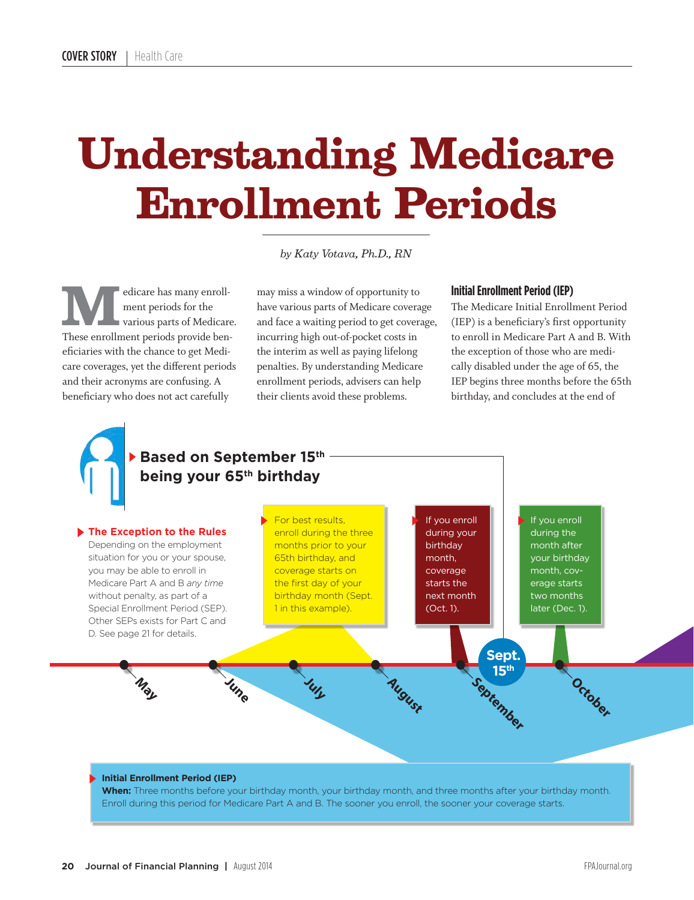# **Understanding Medicare Enrollment Periods**

*by Katy Votava, Ph.D., RN*

**MARE HAS MOVE CONTROLLER MANUSCRIPS OF THE VALUE OF THE VALUE OF THE VALUE OF THE VALUE OF THE VALUE OF THE VALUE OF THE VALUE OF THE VALUE OF THE VALUE OF THE VALUE OF THE VALUE OF THE VALUE OF THE VALUE OF THE VALUE OF** ment periods for the These enrollment periods provide beneficiaries with the chance to get Medicare coverages, yet the different periods and their acronyms are confusing. A beneficiary who does not act carefully

may miss a window of opportunity to have various parts of Medicare coverage and face a waiting period to get coverage, incurring high out-of-pocket costs in the interim as well as paying lifelong penalties. By understanding Medicare enrollment periods, advisers can help their clients avoid these problems.

### **Initial Enrollment Period (IEP)**

The Medicare Initial Enrollment Period (IEP) is a beneficiary's first opportunity to enroll in Medicare Part A and B. With the exception of those who are medically disabled under the age of 65, the IEP begins three months before the 65th birthday, and concludes at the end of

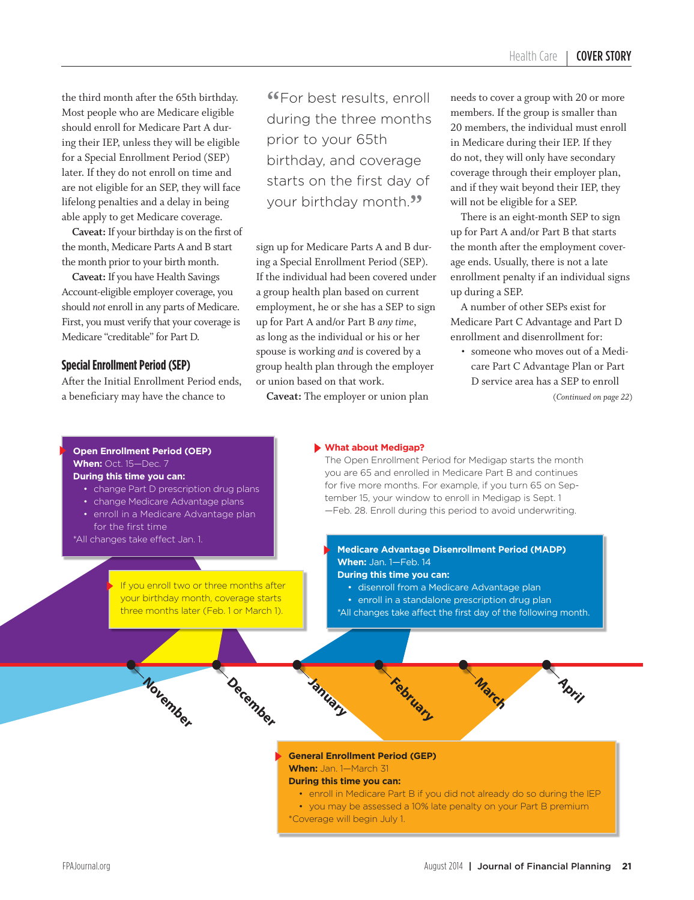the third month after the 65th birthday. Most people who are Medicare eligible should enroll for Medicare Part A during their IEP, unless they will be eligible for a Special Enrollment Period (SEP) later. If they do not enroll on time and are not eligible for an SEP, they will face lifelong penalties and a delay in being able apply to get Medicare coverage.

**Caveat:** If your birthday is on the first of the month, Medicare Parts A and B start the month prior to your birth month.

**Caveat:** If you have Health Savings Account-eligible employer coverage, you should *not* enroll in any parts of Medicare. First, you must verify that your coverage is Medicare "creditable" for Part D.

### **Special Enrollment Period (SEP)**

After the Initial Enrollment Period ends, a beneficiary may have the chance to

**"For best results, enroll** during the three months prior to your 65th birthday, and coverage starts on the first day of your birthday month.<sup>99</sup>

sign up for Medicare Parts A and B during a Special Enrollment Period (SEP). If the individual had been covered under a group health plan based on current employment, he or she has a SEP to sign up for Part A and/or Part B *any time*, as long as the individual or his or her spouse is working *and* is covered by a group health plan through the employer or union based on that work.

**Caveat:** The employer or union plan

needs to cover a group with 20 or more members. If the group is smaller than 20 members, the individual must enroll in Medicare during their IEP. If they do not, they will only have secondary coverage through their employer plan, and if they wait beyond their IEP, they will not be eligible for a SEP.

There is an eight-month SEP to sign up for Part A and/or Part B that starts the month after the employment coverage ends. Usually, there is not a late enrollment penalty if an individual signs up during a SEP.

A number of other SEPs exist for Medicare Part C Advantage and Part D enrollment and disenrollment for:

• someone who moves out of a Medicare Part C Advantage Plan or Part D service area has a SEP to enroll

(*Continued on page 22*)

### **Open Enrollment Period (OEP) When:** Oct. 15—Dec. 7

**During this time you can:**

- change Part D prescription drug plans
- change Medicare Advantage plans
- enroll in a Medicare Advantage plan

**November**

for the first time \*All changes take effect Jan. 1.

> If you enroll two or three months after your birthday month, coverage starts three months later (Feb. 1 or March 1).

> > **December**

#### **What about Medigap?**

The Open Enrollment Period for Medigap starts the month you are 65 and enrolled in Medicare Part B and continues for five more months. For example, if you turn 65 on September 15, your window to enroll in Medigap is Sept. 1 —Feb. 28. Enroll during this period to avoid underwriting.

### **Medicare Advantage Disenrollment Period (MADP) When:** Jan. 1—Feb. 14

**During this time you can:**

**February**

- disenroll from a Medicare Advantage plan
- enroll in a standalone prescription drug plan
- \*All changes take affect the first day of the following month.

**March**

**General Enrollment Period (GEP) When:** Jan. 1—March 31

### **During this time you can:**

**January**

- enroll in Medicare Part B if you did not already do so during the IEP
- you may be assessed a 10% late penalty on your Part B premium
- \*Coverage will begin July 1.

**April**